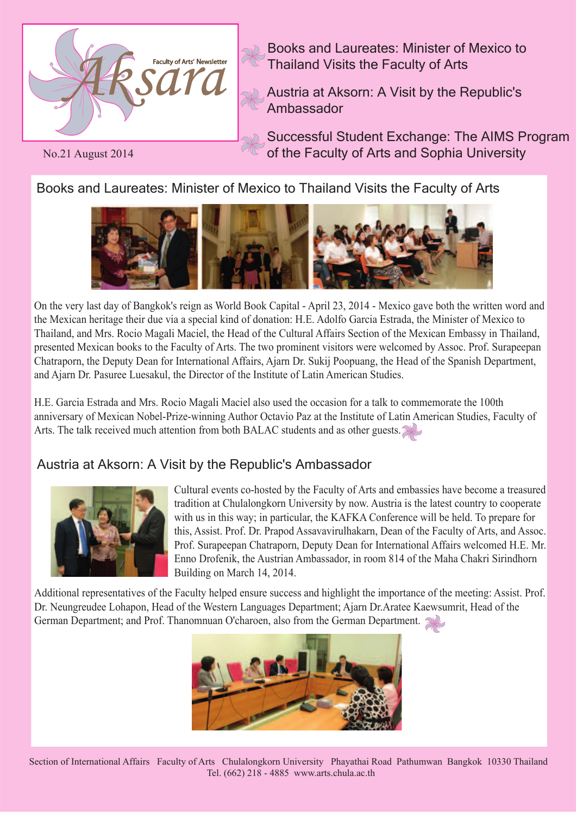

Books and Laureates: Minister of Mexico to Thailand Visits the Faculty of Arts

Austria at Aksorn: A Visit by the Republic's Ambassador

Successful Student Exchange: The AIMS Program of the Faculty of Arts and Sophia University

No.21 August 2014

Books and Laureates: Minister of Mexico to Thailand Visits the Faculty of Arts



On the very last day of Bangkok's reign as World Book Capital - April 23, 2014 - Mexico gave both the written word and the Mexican heritage their due via a special kind of donation: H.E. Adolfo Garcia Estrada, the Minister of Mexico to Thailand, and Mrs. Rocio Magali Maciel, the Head of the Cultural Affairs Section of the Mexican Embassy in Thailand, presented Mexican books to the Faculty of Arts. The two prominent visitors were welcomed by Assoc. Prof. Surapeepan Chatraporn, the Deputy Dean for International Affairs, Ajarn Dr. Sukij Poopuang, the Head of the Spanish Department, and Ajarn Dr. Pasuree Luesakul, the Director of the Institute of Latin American Studies.

H.E. Garcia Estrada and Mrs. Rocio Magali Maciel also used the occasion for a talk to commemorate the 100th anniversary of Mexican Nobel-Prize-winning Author Octavio Paz at the Institute of Latin American Studies, Faculty of Arts. The talk received much attention from both BALAC students and as other guests.

## Austria at Aksorn: A Visit by the Republic's Ambassador



Cultural events co-hosted by the Faculty of Arts and embassies have become a treasured tradition at Chulalongkorn University by now. Austria is the latest country to cooperate with us in this way; in particular, the KAFKA Conference will be held. To prepare for this, Assist. Prof. Dr. Prapod Assavavirulhakarn, Dean of the Faculty of Arts, and Assoc. Prof. Surapeepan Chatraporn, Deputy Dean for International Affairs welcomed H.E. Mr. Enno Drofenik, the Austrian Ambassador, in room 814 of the Maha Chakri Sirindhorn Building on March 14, 2014.

Additional representatives of the Faculty helped ensure success and highlight the importance of the meeting: Assist. Prof. Dr. Neungreudee Lohapon, Head of the Western Languages Department; Ajarn Dr.Aratee Kaewsumrit, Head of the German Department; and Prof. Thanomnuan O'charoen, also from the German Department.



Section of International Affairs Faculty of Arts Chulalongkorn University Phayathai Road Pathumwan Bangkok 10330 Thailand Tel. (662) 218 - 4885 www.arts.chula.ac.th